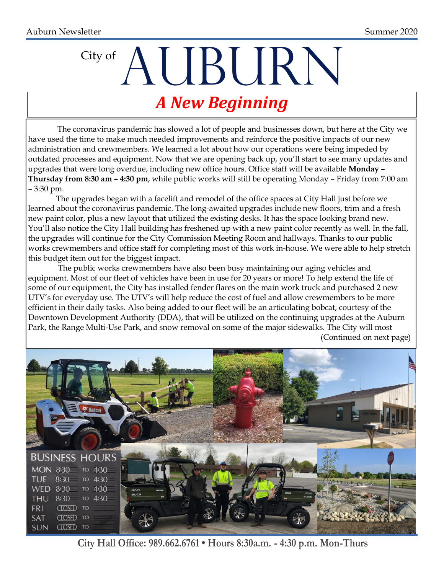# City of  $\overline{AB}$ *A New Beginning*

The coronavirus pandemic has slowed a lot of people and businesses down, but here at the City we have used the time to make much needed improvements and reinforce the positive impacts of our new administration and crewmembers. We learned a lot about how our operations were being impeded by outdated processes and equipment. Now that we are opening back up, you'll start to see many updates and upgrades that were long overdue, including new office hours. Office staff will be available **Monday – Thursday from 8:30 am – 4:30 pm**, while public works will still be operating Monday – Friday from 7:00 am – 3:30 pm.

 The upgrades began with a facelift and remodel of the office spaces at City Hall just before we learned about the coronavirus pandemic. The long-awaited upgrades include new floors, trim and a fresh new paint color, plus a new layout that utilized the existing desks. It has the space looking brand new. You'll also notice the City Hall building has freshened up with a new paint color recently as well. In the fall, the upgrades will continue for the City Commission Meeting Room and hallways. Thanks to our public works crewmembers and office staff for completing most of this work in-house. We were able to help stretch this budget item out for the biggest impact.

 The public works crewmembers have also been busy maintaining our aging vehicles and equipment. Most of our fleet of vehicles have been in use for 20 years or more! To help extend the life of some of our equipment, the City has installed fender flares on the main work truck and purchased 2 new UTV's for everyday use. The UTV's will help reduce the cost of fuel and allow crewmembers to be more efficient in their daily tasks. Also being added to our fleet will be an articulating bobcat, courtesy of the Downtown Development Authority (DDA), that will be utilized on the continuing upgrades at the Auburn Park, the Range Multi-Use Park, and snow removal on some of the major sidewalks. The City will most (Continued on next page)



**City Hall Office: 989.662.6761 • Hours 8:30a.m. - 4:30 p.m. Mon-Thurs**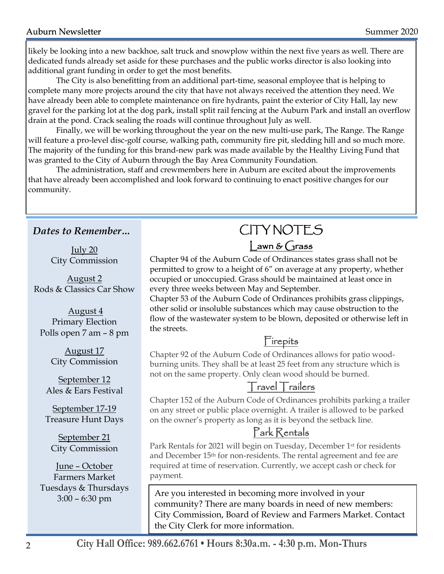#### Auburn Newsletter Summer 2020

likely be looking into a new backhoe, salt truck and snowplow within the next five years as well. There are dedicated funds already set aside for these purchases and the public works director is also looking into additional grant funding in order to get the most benefits.

The City is also benefitting from an additional part-time, seasonal employee that is helping to complete many more projects around the city that have not always received the attention they need. We have already been able to complete maintenance on fire hydrants, paint the exterior of City Hall, lay new gravel for the parking lot at the dog park, install split rail fencing at the Auburn Park and install an overflow drain at the pond. Crack sealing the roads will continue throughout July as well.

 Finally, we will be working throughout the year on the new multi-use park, The Range. The Range will feature a pro-level disc-golf course, walking path, community fire pit, sledding hill and so much more. The majority of the funding for this brand-new park was made available by the Healthy Living Fund that was granted to the City of Auburn through the Bay Area Community Foundation.

 The administration, staff and crewmembers here in Auburn are excited about the improvements that have already been accomplished and look forward to continuing to enact positive changes for our community.

#### *Dates to Remember…*

 $\text{July } 20$ City Commission

August 2 Rods & Classics Car Show

August 4 Primary Election Polls open 7 am – 8 pm

> August 17 City Commission

September 12 Ales & Ears Festival

September 17-19 Treasure Hunt Days

September 21 City Commission

June – October Farmers Market Tuesdays & Thursdays 3:00 – 6:30 pm

## CITY NOTES Lawn & Grass

Chapter 94 of the Auburn Code of Ordinances states grass shall not be permitted to grow to a height of 6" on average at any property, whether occupied or unoccupied. Grass should be maintained at least once in every three weeks between May and September.

Chapter 53 of the Auburn Code of Ordinances prohibits grass clippings, other solid or insoluble substances which may cause obstruction to the flow of the wastewater system to be blown, deposited or otherwise left in the streets.

## Firepits

Chapter 92 of the Auburn Code of Ordinances allows for patio woodburning units. They shall be at least 25 feet from any structure which is not on the same property. Only clean wood should be burned.

## Travel Trailers

Chapter 152 of the Auburn Code of Ordinances prohibits parking a trailer on any street or public place overnight. A trailer is allowed to be parked on the owner's property as long as it is beyond the setback line.

## Park Rentals

Park Rentals for 2021 will begin on Tuesday, December 1st for residents and December 15th for non-residents. The rental agreement and fee are required at time of reservation. Currently, we accept cash or check for payment.

City Commission, Board of Review and Farmers Market. Contact the City Clerk for more information. Are you interested in becoming more involved in your community? There are many boards in need of new members: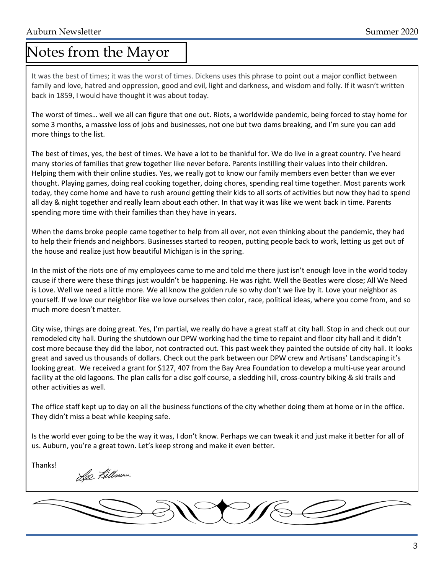# Notes from the Mayor

It was the best of times; it was the worst of times. Dickens uses this phrase to point out a major conflict between family and love, hatred and oppression, good and evil, light and darkness, and wisdom and folly. If it wasn't written back in 1859, I would have thought it was about today.

The worst of times… well we all can figure that one out. Riots, a worldwide pandemic, being forced to stay home for some 3 months, a massive loss of jobs and businesses, not one but two dams breaking, and I'm sure you can add more things to the list.

The best of times, yes, the best of times. We have a lot to be thankful for. We do live in a great country. I've heard many stories of families that grew together like never before. Parents instilling their values into their children. Helping them with their online studies. Yes, we really got to know our family members even better than we ever thought. Playing games, doing real cooking together, doing chores, spending real time together. Most parents work today, they come home and have to rush around getting their kids to all sorts of activities but now they had to spend all day & night together and really learn about each other. In that way it was like we went back in time. Parents spending more time with their families than they have in years.

When the dams broke people came together to help from all over, not even thinking about the pandemic, they had to help their friends and neighbors. Businesses started to reopen, putting people back to work, letting us get out of the house and realize just how beautiful Michigan is in the spring.

In the mist of the riots one of my employees came to me and told me there just isn't enough love in the world today cause if there were these things just wouldn't be happening. He was right. Well the Beatles were close; All We Need is Love. Well we need a little more. We all know the golden rule so why don't we live by it. Love your neighbor as yourself. If we love our neighbor like we love ourselves then color, race, political ideas, where you come from, and so much more doesn't matter.

City wise, things are doing great. Yes, I'm partial, we really do have a great staff at city hall. Stop in and check out our remodeled city hall. During the shutdown our DPW working had the time to repaint and floor city hall and it didn't cost more because they did the labor, not contracted out. This past week they painted the outside of city hall. It looks great and saved us thousands of dollars. Check out the park between our DPW crew and Artisans' Landscaping it's looking great. We received a grant for \$127, 407 from the Bay Area Foundation to develop a multi-use year around facility at the old lagoons. The plan calls for a disc golf course, a sledding hill, cross-country biking & ski trails and other activities as well.

The office staff kept up to day on all the business functions of the city whether doing them at home or in the office. They didn't miss a beat while keeping safe.

Is the world ever going to be the way it was, I don't know. Perhaps we can tweak it and just make it better for all of us. Auburn, you're a great town. Let's keep strong and make it even better.

Thanks!

Le Kilbourn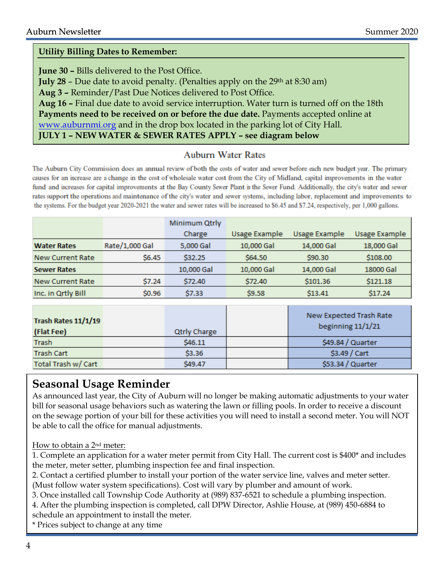#### **Utility Billing Dates to Remember:**

**June 30 –** Bills delivered to the Post Office.

**July 28** – Due date to avoid penalty. (Penalties apply on the 29th at 8:30 am)

**Aug 3 –** Reminder/Past Due Notices delivered to Post Office.

**Aug 16 –** Final due date to avoid service interruption. Water turn is turned off on the 18th **Payments need to be received on or before the due date.** Payments accepted online at [www.auburnmi.org](http://www.auburnmi.org/) and in the drop box located in the parking lot of City Hall. **JULY 1 – NEW WATER & SEWER RATES APPLY – see diagram below**

#### **Auburn Water Rates**

The Auburn City Commission does an annual review of both the costs of water and sewer before each new budget year. The primary causes for an increase are a change in the cost of wholesale water cost from the City of Midland, capital improvements in the water fund and increases for capital improvements at the Bay County Sewer Plant in the Sewer Fund. Additionally, the city's water and sewer rates support the operations and maintenance of the city's water and sewer systems, including labor, replacement and improvements to the systems. For the budget year 2020-2021 the water and sewer rates will be increased to \$6.45 and \$7.24, respectively, per 1,000 gallons.

|                                                   |                    | Minimum Qtrly |               |               |               |
|---------------------------------------------------|--------------------|---------------|---------------|---------------|---------------|
|                                                   |                    | Charge        | Usage Example | Usage Example | Usage Example |
| Rate/1,000 Gal<br>5,000 Gal<br><b>Water Rates</b> |                    |               | 10,000 Gal    | 14,000 Gal    | 18,000 Gal    |
| New Current Rate                                  | S <sub>6</sub> .45 | \$32.25       | S64.50        | S90.30        | \$108.00      |
| <b>Sewer Rates</b>                                |                    | 10,000 Gal    | 10,000 Gal    | 14,000 Gal    | 18000 Gal     |
| <b>New Current Rate</b>                           | \$7.24<br>S72.40   |               | S72.40        | \$101.36      | \$121.18      |
| Inc. in Ortly Bill                                | \$0.96             | \$7.33        | \$9.58        | \$13.41       | \$17.24       |

| Trash Rates 11/1/19<br>(Flat Fee) | <b>Qtrly Charge</b> | New Expected Trash Rate<br>beginning $11/1/21$ |
|-----------------------------------|---------------------|------------------------------------------------|
| Trash                             | S <sub>46.11</sub>  | \$49.84 / Quarter                              |
| <b>Trash Cart</b>                 | S <sub>3</sub> .36  | $$3.49 /$ Cart                                 |
| Total Trash w/ Cart               | S <sub>49</sub> .47 | \$53.34 / Quarter                              |

## **Seasonal Usage Reminder**

As announced last year, the City of Auburn will no longer be making automatic adjustments to your water bill for seasonal usage behaviors such as watering the lawn or filling pools. In order to receive a discount on the sewage portion of your bill for these activities you will need to install a second meter. You will NOT be able to call the office for manual adjustments.

How to obtain a 2nd meter:

1. Complete an application for a water meter permit from City Hall. The current cost is \$400\* and includes the meter, meter setter, plumbing inspection fee and final inspection.

2. Contact a certified plumber to install your portion of the water service line, valves and meter setter. (Must follow water system specifications). Cost will vary by plumber and amount of work.

3. Once installed call Township Code Authority at (989) 837-6521 to schedule a plumbing inspection.

4. After the plumbing inspection is completed, call DPW Director, Ashlie House, at (989) 450-6884 to

schedule an appointment to install the meter.

\* Prices subject to change at any time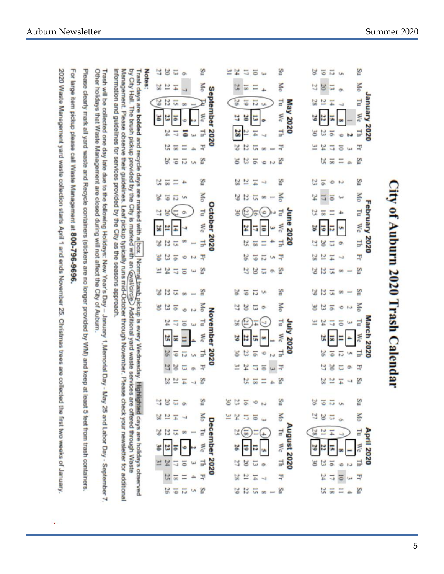|                                                | Notes:                                                                                                                                                                     | ΕŚ<br>12<br>20<br>ū                                             | 24<br>ξü<br>اربیا<br>مست<br>5<br>ā<br>فعا                                         | ΓŚ<br>5<br>蒜                                              |
|------------------------------------------------|----------------------------------------------------------------------------------------------------------------------------------------------------------------------------|-----------------------------------------------------------------|-----------------------------------------------------------------------------------|-----------------------------------------------------------|
|                                                |                                                                                                                                                                            | <b>Mo</b><br>28<br>E<br>Ŧ                                       | š<br>u<br>ᇙ<br><b>Board</b>                                                       | <b>Mo</b><br>g                                            |
| $\frac{1}{r}$                                  |                                                                                                                                                                            | Z<br>5Č<br>긊<br>œ                                               | Ę<br>56<br>5<br>冨<br>U                                                            | F<br>28<br>Ξ                                              |
|                                                |                                                                                                                                                                            | Wc<br>ä                                                         | Wc                                                                                | Wc                                                        |
|                                                |                                                                                                                                                                            | September 2020<br>분<br>보<br>E<br>ᇹ                              | <b>May 2020</b><br>F<br>T.                                                        | January 2020<br>Ę<br>$\overline{9}$<br>ы                  |
|                                                |                                                                                                                                                                            | H<br>$\overline{8}$                                             | 3<br>Ţ<br>ū,                                                                      | ه<br>도<br>F<br>5<br>ä                                     |
|                                                |                                                                                                                                                                            | 山<br>50<br>Sa<br>5<br>12<br>Ù,                                  | œ<br>N<br>Sã<br>ö<br>농<br>O <sub>1</sub>                                          | زنيا<br>x<br>Ξ<br>Sa<br>57                                |
|                                                |                                                                                                                                                                            |                                                                 |                                                                                   | $4\sigma$                                                 |
|                                                |                                                                                                                                                                            | 5u<br>Z<br>ST <sub>1</sub><br>÷                                 | 21<br>Su<br>T.                                                                    | 5il<br>ä<br>6<br>Z                                        |
|                                                |                                                                                                                                                                            | <b>Sko</b><br>50<br>12<br>5<br>U                                | δÑ<br>22<br>72<br>ū,<br>Ö0                                                        | <b>DIS</b><br>岔<br>5<br>ä                                 |
| i                                              |                                                                                                                                                                            | F<br>o,                                                         | Ë<br>۰                                                                            | F                                                         |
|                                                | Trash days are bolded and recycle days are marked with a box.                                                                                                              | October 2020<br>Wc                                              | June 2020<br>Wc                                                                   | February 2020<br>Wc<br>۰                                  |
| i                                              |                                                                                                                                                                            | Ę<br>œ                                                          | 보<br>÷                                                                            | Ę<br>S<br>ò                                               |
|                                                | information and guidelines for services provided by the City as the seasons approach<br>by City Hall. The brush pickup provided by the City is marked with an Coval/circle | α<br>哥<br>$\overline{9}$<br>ó<br>N                              | 국<br>5<br>12<br>Ü                                                                 | Ę<br>2<br>F                                               |
|                                                |                                                                                                                                                                            | 罕<br>브<br>E<br>Sa<br>õ<br>فبغرة                                 | 27<br>20<br>Sa<br>ū<br>ø,                                                         | S<br>22<br>29<br>ū,<br>œ<br>$\overline{\phantom{a}}$      |
|                                                |                                                                                                                                                                            |                                                                 |                                                                                   |                                                           |
| $\mathbf{v}$ and $\mathbf{v}$ and $\mathbf{v}$ |                                                                                                                                                                            | 12<br>ΕŠ<br>S,<br>5<br>DO                                       | ŠΠ<br>5<br>冨<br><b>UA</b>                                                         | Σü<br>Z<br>ū<br>$\infty$<br>$\sim$                        |
|                                                |                                                                                                                                                                            | <b>No</b><br>E<br>$\overline{9}$                                | Mo<br>ö                                                                           | <b>No</b><br>u<br>$\overline{5}$<br>٥<br>$\mathbf{L}$     |
|                                                |                                                                                                                                                                            | <b>November</b><br>E                                            | Ę                                                                                 | E                                                         |
|                                                |                                                                                                                                                                            | Wc<br>ă,<br>œ                                                   | <b>July 2020</b><br>Wc<br>œ                                                       | March 2020<br>Wc<br>œ                                     |
|                                                | Normal trash pickup is every Wednesday.                                                                                                                                    | 2020<br>빛<br>5<br>U                                             | 是<br>и<br>5Ī<br>Ó                                                                 | 보<br>56<br>5<br>12<br>U,                                  |
|                                                |                                                                                                                                                                            | H<br>79<br>$\overline{\mathbf{u}}$                              | 昙<br>E,<br>5<br>퍅                                                                 | 2<br>S<br>꾸<br>u<br>ö                                     |
| 5<br>ŗ                                         |                                                                                                                                                                            | 28<br>$\sim$<br>Sa<br>$\overline{+}$<br>-1                      | Z<br>Sã<br>$\overline{\phantom{a}}$<br>$\infty$<br>$\rightarrow$<br>$\frac{1}{2}$ | $\frac{21}{28}$<br>Sa<br>Ŧ<br>$\rightarrow$               |
|                                                |                                                                                                                                                                            |                                                                 |                                                                                   |                                                           |
|                                                |                                                                                                                                                                            | ns<br>27<br><b>CC</b><br>冨<br>$\circ$                           | Šμ<br>Z<br>õ<br>g<br>$\ddot{\circ}$<br>N                                          | ΕŚ<br>S,<br><b>12</b><br>U,                               |
|                                                |                                                                                                                                                                            | <b>No</b><br>28<br>N<br>Ŧ<br>$\rightarrow$                      | ×<br>쁘<br>FC<br>5<br>ö<br>ندا                                                     | Š<br>27<br>P.<br>冨<br>۰                                   |
|                                                |                                                                                                                                                                            | F<br>29<br>E<br>90<br>U)                                        | $\Xi$<br>$\overline{\mathbb{R}}$<br>25<br>$\overline{\phantom{0}}$<br>4           | $\frac{28}{2}$<br>Ľ<br>$\mathbb{I}$<br>Ŧ<br>$\rightarrow$ |
| Man 25 and about Plant                         | Additional yard waste services are offered through Waste<br>Highlighted days are holidays observed                                                                         | December 2020<br>Wc<br>Z<br>E<br>$\overline{\bullet}$<br>۰<br>ы | <b>August 2020</b><br>Wc<br>ō<br>ьā                                               | <b>April 2020</b><br>Wc<br>ó<br>A<br>œ                    |
|                                                |                                                                                                                                                                            | Ę<br>브<br>昆<br>₩<br>ä<br>ندا                                    | Ę<br>12<br>70<br>u<br>ö                                                           | Ę<br>岂<br>23<br>$\overline{9}$<br>Ó<br>IJ                 |
| $\ddot{\phantom{a}}$                           |                                                                                                                                                                            | Ę<br>S,<br>5                                                    | 12<br>퍅<br>28<br>F<br>$\sim$                                                      | 보<br>Ę<br>L)<br>ö<br>نیا                                  |
| J                                              | Management. Please observe their guidelines. Leaf pickup typically runs mid-October through November. Please check your newsletter for additional                          | 26<br>S,<br>$\overline{5}$<br>5<br>U)                           | 22<br>S.<br>29<br>J,<br>$\infty$ $\infty$                                         | 25<br>K,<br>$\frac{1}{80}$<br>Ξ<br>÷                      |
|                                                |                                                                                                                                                                            |                                                                 |                                                                                   |                                                           |

Trash will be collected one day late due to the following Holidays: New Year's Day – January 1,Memonial Day - May 25 and Labor Day - September 7.<br>Other holidays that Waste Management are closed during will not affect the C

Please clearly mark all yard waste and Recycle containers (stickers are no longer provided by WM) and keep at least 5 feet from trash containers.

For large item pickup please call Waste Management at 800-796-9696

2020 Waste Management yard waste collection starts April 1 and ends November 25. Christmas trees are collected the first two weeks of January.

i,

City of Auburn 2020 Trash Calendar